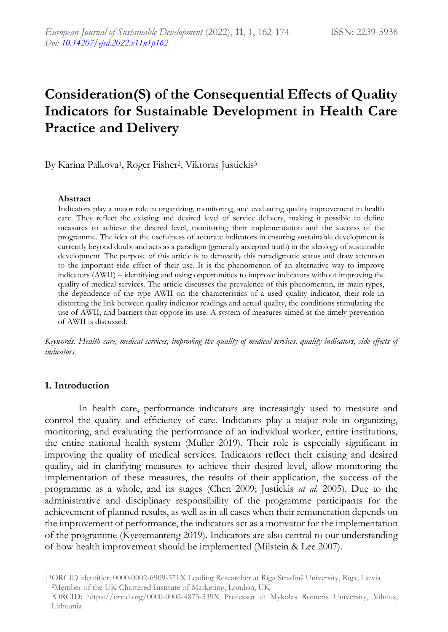# **Consideration(S) of the Consequential Effects of Quality Indicators for Sustainable Development in Health Care Practice and Delivery**

By Karina Palkova<sup>1</sup>, Roger Fisher<sup>2</sup>, Viktoras Justickis<sup>3</sup>

#### **Abstract**

Indicators play a major role in organizing, monitoring, and evaluating quality improvement in health care. They reflect the existing and desired level of service delivery, making it possible to define measures to achieve the desired level, monitoring their implementation and the success of the programme. The idea of the usefulness of accurate indicators in ensuring sustainable development is currently beyond doubt and acts as a paradigm (generally accepted truth) in the ideology of sustainable development. The purpose of this article is to demystify this paradigmatic status and draw attention to the important side effect of their use. It is the phenomenon of an alternative way to improve indicators (AWII) – identifying and using opportunities to improve indicators without improving the quality of medical services. The article discusses the prevalence of this phenomenon, its main types, the dependence of the type AWII on the characteristics of a used quality indicator, their role in distorting the link between quality indicator readings and actual quality, the conditions stimulating the use of AWII, and barriers that oppose its use. A system of measures aimed at the timely prevention of AWII is discussed.

*Keywords. Health care, medical services, improving the quality of medical services, quality indicators, side effects of indicators* 

#### **1. Introduction**

In health care, performance indicators are increasingly used to measure and control the quality and efficiency of care. Indicators play a major role in organizing, monitoring, and evaluating the performance of an individual worker, entire institutions, the entire national health system (Muller 2019). Their role is especially significant in improving the quality of medical services. Indicators reflect their existing and desired quality, aid in clarifying measures to achieve their desired level, allow monitoring the implementation of these measures, the results of their application, the success of the programme as a whole, and its stages (Chen 2009; Justickis *at al.* 2005). Due to the administrative and disciplinary responsibility of the programme participants for the achievement of planned results, as well as in all cases when their remuneration depends on the improvement of performance, the indicators act as a motivator for the implementation of the programme (Kyeremanteng 2019). Indicators are also central to our understanding of how health improvement should be implemented (Milstein & Lee 2007).

<sup>|</sup>1ORCID identifier: 0000-0002-6909-571X Leading Researcher at Riga Stradinš University, Riga, Latvia <sup>2</sup>Member of the UK Chartered Institute of Marketing, London, UK <sup>3</sup>ORCID: https://orcid.org/0000-0002-4875-339X Professor at Mykolas Romeris University, Vilnius, Lithuania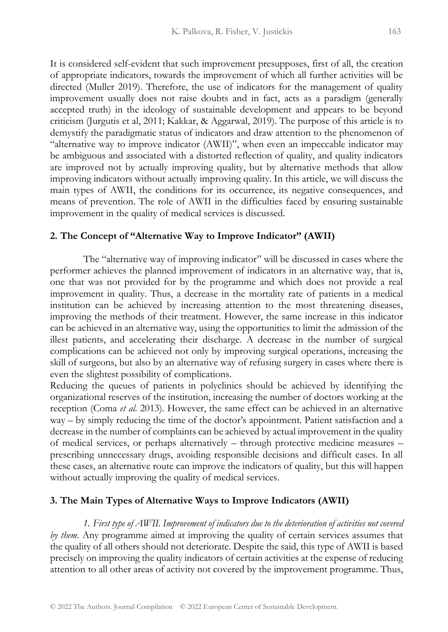It is considered self-evident that such improvement presupposes, first of all, the creation of appropriate indicators, towards the improvement of which all further activities will be directed (Muller 2019). Therefore, the use of indicators for the management of quality improvement usually does not raise doubts and in fact, acts as a paradigm (generally accepted truth) in the ideology of sustainable development and appears to be beyond criticism (Jurgutis et al, 2011; Kakkar, & Aggarwal, 2019). The purpose of this article is to demystify the paradigmatic status of indicators and draw attention to the phenomenon of "alternative way to improve indicator (AWII)", when even an impeccable indicator may be ambiguous and associated with a distorted reflection of quality, and quality indicators are improved not by actually improving quality, but by alternative methods that allow improving indicators without actually improving quality. In this article, we will discuss the main types of AWII, the conditions for its occurrence, its negative consequences, and means of prevention. The role of AWII in the difficulties faced by ensuring sustainable improvement in the quality of medical services is discussed.

#### **2. The Concept of "Alternative Way to Improve Indicator" (AWII)**

The "alternative way of improving indicator" will be discussed in cases where the performer achieves the planned improvement of indicators in an alternative way, that is, one that was not provided for by the programme and which does not provide a real improvement in quality. Thus, a decrease in the mortality rate of patients in a medical institution can be achieved by increasing attention to the most threatening diseases, improving the methods of their treatment. However, the same increase in this indicator can be achieved in an alternative way, using the opportunities to limit the admission of the illest patients, and accelerating their discharge. A decrease in the number of surgical complications can be achieved not only by improving surgical operations, increasing the skill of surgeons, but also by an alternative way of refusing surgery in cases where there is even the slightest possibility of complications.

Reducing the queues of patients in polyclinics should be achieved by identifying the organizational reserves of the institution, increasing the number of doctors working at the reception (Coma *et al*. 2013). However, the same effect can be achieved in an alternative way – by simply reducing the time of the doctor's appointment. Patient satisfaction and a decrease in the number of complaints can be achieved by actual improvement in the quality of medical services, or perhaps alternatively – through protective medicine measures – prescribing unnecessary drugs, avoiding responsible decisions and difficult cases. In all these cases, an alternative route can improve the indicators of quality, but this will happen without actually improving the quality of medical services.

#### **3. The Main Types of Alternative Ways to Improve Indicators (AWII)**

*1. First type of AWII. Improvement of indicators due to the deterioration of activities not covered by them.* Any programme aimed at improving the quality of certain services assumes that the quality of all others should not deteriorate. Despite the said, this type of AWII is based precisely on improving the quality indicators of certain activities at the expense of reducing attention to all other areas of activity not covered by the improvement programme. Thus,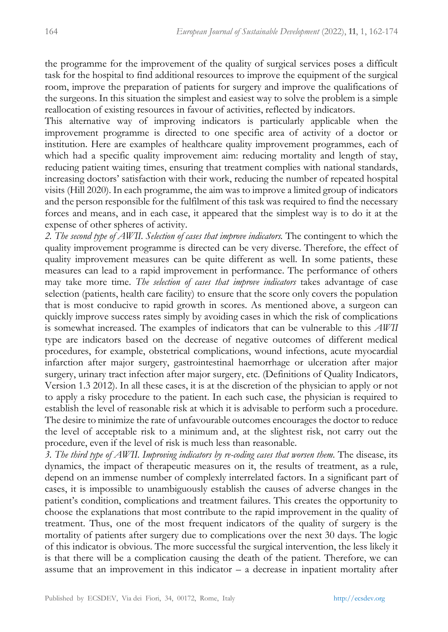the programme for the improvement of the quality of surgical services poses a difficult task for the hospital to find additional resources to improve the equipment of the surgical room, improve the preparation of patients for surgery and improve the qualifications of the surgeons. In this situation the simplest and easiest way to solve the problem is a simple reallocation of existing resources in favour of activities, reflected by indicators.

This alternative way of improving indicators is particularly applicable when the improvement programme is directed to one specific area of activity of a doctor or institution. Here are examples of healthcare quality improvement programmes, each of which had a specific quality improvement aim: reducing mortality and length of stay, reducing patient waiting times, ensuring that treatment complies with national standards, increasing doctors' satisfaction with their work, reducing the number of repeated hospital visits (Hill 2020). In each programme, the aim was to improve a limited group of indicators and the person responsible for the fulfilment of this task was required to find the necessary forces and means, and in each case, it appeared that the simplest way is to do it at the expense of other spheres of activity.

*2. The second type of AWII. Selection of cases that improve indicators.* The contingent to which the quality improvement programme is directed can be very diverse. Therefore, the effect of quality improvement measures can be quite different as well. In some patients, these measures can lead to a rapid improvement in performance. The performance of others may take more time. *The selection of cases that improve indicators* takes advantage of case selection (patients, health care facility) to ensure that the score only covers the population that is most conducive to rapid growth in scores. As mentioned above, a surgeon can quickly improve success rates simply by avoiding cases in which the risk of complications is somewhat increased. The examples of indicators that can be vulnerable to this *AWII* type are indicators based on the decrease of negative outcomes of different medical procedures, for example, obstetrical complications, wound infections, acute myocardial infarction after major surgery, gastrointestinal haemorrhage or ulceration after major surgery, urinary tract infection after major surgery, etc. (Definitions of Quality Indicators, Version 1.3 2012). In all these cases, it is at the discretion of the physician to apply or not to apply a risky procedure to the patient. In each such case, the physician is required to establish the level of reasonable risk at which it is advisable to perform such a procedure. The desire to minimize the rate of unfavourable outcomes encourages the doctor to reduce the level of acceptable risk to a minimum and, at the slightest risk, not carry out the procedure, even if the level of risk is much less than reasonable.

3. The third type of AWII. Improving indicators by re-coding cases that worsen them. The disease, its dynamics, the impact of therapeutic measures on it, the results of treatment, as a rule, depend on an immense number of complexly interrelated factors. In a significant part of cases, it is impossible to unambiguously establish the causes of adverse changes in the patient's condition, complications and treatment failures. This creates the opportunity to choose the explanations that most contribute to the rapid improvement in the quality of treatment. Thus, one of the most frequent indicators of the quality of surgery is the mortality of patients after surgery due to complications over the next 30 days. The logic of this indicator is obvious. The more successful the surgical intervention, the less likely it is that there will be a complication causing the death of the patient. Therefore, we can assume that an improvement in this indicator – a decrease in inpatient mortality after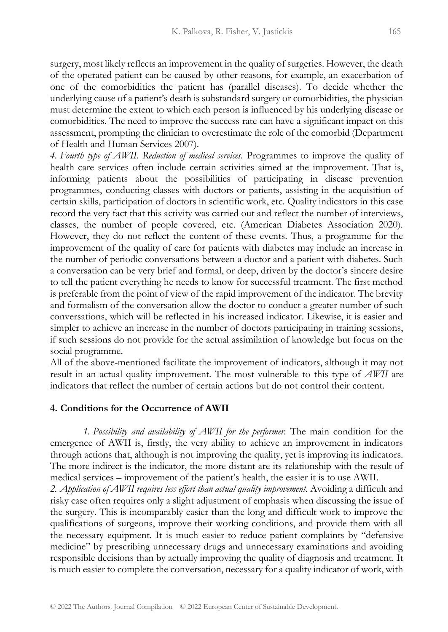surgery, most likely reflects an improvement in the quality of surgeries. However, the death of the operated patient can be caused by other reasons, for example, an exacerbation of one of the comorbidities the patient has (parallel diseases). To decide whether the underlying cause of a patient's death is substandard surgery or comorbidities, the physician must determine the extent to which each person is influenced by his underlying disease or comorbidities. The need to improve the success rate can have a significant impact on this assessment, prompting the clinician to overestimate the role of the comorbid (Department of Health and Human Services 2007).

*4. Fourth type of AWII. Reduction of medical services.* Programmes to improve the quality of health care services often include certain activities aimed at the improvement. That is, informing patients about the possibilities of participating in disease prevention programmes, conducting classes with doctors or patients, assisting in the acquisition of certain skills, participation of doctors in scientific work, etc. Quality indicators in this case record the very fact that this activity was carried out and reflect the number of interviews, classes, the number of people covered, etc. (American Diabetes Association 2020). However, they do not reflect the content of these events. Thus, a programme for the improvement of the quality of care for patients with diabetes may include an increase in the number of periodic conversations between a doctor and a patient with diabetes. Such a conversation can be very brief and formal, or deep, driven by the doctor's sincere desire to tell the patient everything he needs to know for successful treatment. The first method is preferable from the point of view of the rapid improvement of the indicator. The brevity and formalism of the conversation allow the doctor to conduct a greater number of such conversations, which will be reflected in his increased indicator. Likewise, it is easier and simpler to achieve an increase in the number of doctors participating in training sessions, if such sessions do not provide for the actual assimilation of knowledge but focus on the social programme.

All of the above-mentioned facilitate the improvement of indicators, although it may not result in an actual quality improvement. The most vulnerable to this type of *AWII* are indicators that reflect the number of certain actions but do not control their content.

#### **4. Conditions for the Occurrence of AWII**

*1. Possibility and availability of AWII for the performer.* The main condition for the emergence of AWII is, firstly, the very ability to achieve an improvement in indicators through actions that, although is not improving the quality, yet is improving its indicators. The more indirect is the indicator, the more distant are its relationship with the result of medical services – improvement of the patient's health, the easier it is to use AWII. 2. *Application of AWII requires less effort than actual quality improvement.* Avoiding a difficult and risky case often requires only a slight adjustment of emphasis when discussing the issue of the surgery. This is incomparably easier than the long and difficult work to improve the qualifications of surgeons, improve their working conditions, and provide them with all the necessary equipment. It is much easier to reduce patient complaints by "defensive medicine" by prescribing unnecessary drugs and unnecessary examinations and avoiding responsible decisions than by actually improving the quality of diagnosis and treatment. It is much easier to complete the conversation, necessary for a quality indicator of work, with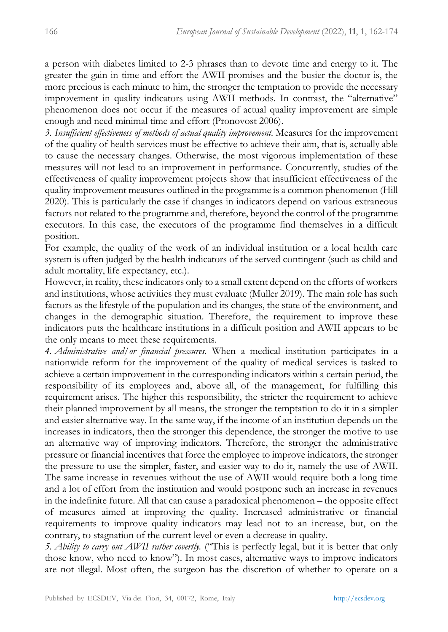a person with diabetes limited to 2-3 phrases than to devote time and energy to it. The greater the gain in time and effort the AWII promises and the busier the doctor is, the more precious is each minute to him, the stronger the temptation to provide the necessary improvement in quality indicators using AWII methods. In contrast, the "alternative" phenomenon does not occur if the measures of actual quality improvement are simple enough and need minimal time and effort (Pronovost 2006).

*3. Insufficient effectiveness of methods of actual quality improvement.* Measures for the improvement of the quality of health services must be effective to achieve their aim, that is, actually able to cause the necessary changes. Otherwise, the most vigorous implementation of these measures will not lead to an improvement in performance. Concurrently, studies of the effectiveness of quality improvement projects show that insufficient effectiveness of the quality improvement measures outlined in the programme is a common phenomenon (Hill 2020). This is particularly the case if changes in indicators depend on various extraneous factors not related to the programme and, therefore, beyond the control of the programme executors. In this case, the executors of the programme find themselves in a difficult position.

For example, the quality of the work of an individual institution or a local health care system is often judged by the health indicators of the served contingent (such as child and adult mortality, life expectancy, etc.).

However, in reality, these indicators only to a small extent depend on the efforts of workers and institutions, whose activities they must evaluate (Muller 2019). The main role has such factors as the lifestyle of the population and its changes, the state of the environment, and changes in the demographic situation. Therefore, the requirement to improve these indicators puts the healthcare institutions in a difficult position and AWII appears to be the only means to meet these requirements.

*4. Administrative and/or financial pressures.* When a medical institution participates in a nationwide reform for the improvement of the quality of medical services is tasked to achieve a certain improvement in the corresponding indicators within a certain period, the responsibility of its employees and, above all, of the management, for fulfilling this requirement arises. The higher this responsibility, the stricter the requirement to achieve their planned improvement by all means, the stronger the temptation to do it in a simpler and easier alternative way. In the same way, if the income of an institution depends on the increases in indicators, then the stronger this dependence, the stronger the motive to use an alternative way of improving indicators. Therefore, the stronger the administrative pressure or financial incentives that force the employee to improve indicators, the stronger the pressure to use the simpler, faster, and easier way to do it, namely the use of AWII. The same increase in revenues without the use of AWII would require both a long time and a lot of effort from the institution and would postpone such an increase in revenues in the indefinite future. All that can cause a paradoxical phenomenon – the opposite effect of measures aimed at improving the quality. Increased administrative or financial requirements to improve quality indicators may lead not to an increase, but, on the contrary, to stagnation of the current level or even a decrease in quality.

*5. Ability to carry out AWII rather covertly.* ("This is perfectly legal, but it is better that only those know, who need to know"). In most cases, alternative ways to improve indicators are not illegal. Most often, the surgeon has the discretion of whether to operate on a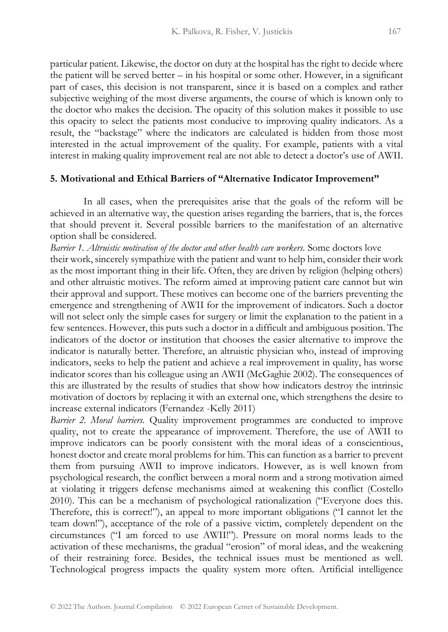particular patient. Likewise, the doctor on duty at the hospital has the right to decide where the patient will be served better – in his hospital or some other. However, in a significant part of cases, this decision is not transparent, since it is based on a complex and rather subjective weighing of the most diverse arguments, the course of which is known only to the doctor who makes the decision. The opacity of this solution makes it possible to use this opacity to select the patients most conducive to improving quality indicators. As a result, the "backstage" where the indicators are calculated is hidden from those most interested in the actual improvement of the quality. For example, patients with a vital interest in making quality improvement real are not able to detect a doctor's use of AWII.

#### **5. Motivational and Ethical Barriers of "Alternative Indicator Improvement"**

In all cases, when the prerequisites arise that the goals of the reform will be achieved in an alternative way, the question arises regarding the barriers, that is, the forces that should prevent it. Several possible barriers to the manifestation of an alternative option shall be considered.

*Barrier 1. Altruistic motivation of the doctor and other health care workers.* Some doctors love their work, sincerely sympathize with the patient and want to help him, consider their work as the most important thing in their life. Often, they are driven by religion (helping others) and other altruistic motives. The reform aimed at improving patient care cannot but win their approval and support. These motives can become one of the barriers preventing the emergence and strengthening of AWII for the improvement of indicators. Such a doctor will not select only the simple cases for surgery or limit the explanation to the patient in a few sentences. However, this puts such a doctor in a difficult and ambiguous position. The indicators of the doctor or institution that chooses the easier alternative to improve the indicator is naturally better. Therefore, an altruistic physician who, instead of improving indicators, seeks to help the patient and achieve a real improvement in quality, has worse indicator scores than his colleague using an AWII (McGaghie 2002). The consequences of this are illustrated by the results of studies that show how indicators destroy the intrinsic motivation of doctors by replacing it with an external one, which strengthens the desire to increase external indicators (Fernandez -Kelly 2011)

*Barrier 2. Moral barriers.* Quality improvement programmes are conducted to improve quality, not to create the appearance of improvement. Therefore, the use of AWII to improve indicators can be poorly consistent with the moral ideas of a conscientious, honest doctor and create moral problems for him. This can function as a barrier to prevent them from pursuing AWII to improve indicators. However, as is well known from psychological research, the conflict between a moral norm and a strong motivation aimed at violating it triggers defense mechanisms aimed at weakening this conflict (Costello 2010). This can be a mechanism of psychological rationalization ("Everyone does this. Therefore, this is correct!"), an appeal to more important obligations ("I cannot let the team down!"), acceptance of the role of a passive victim, completely dependent on the circumstances ("I am forced to use AWII!"). Pressure on moral norms leads to the activation of these mechanisms, the gradual "erosion" of moral ideas, and the weakening of their restraining force. Besides, the technical issues must be mentioned as well. Technological progress impacts the quality system more often. Artificial intelligence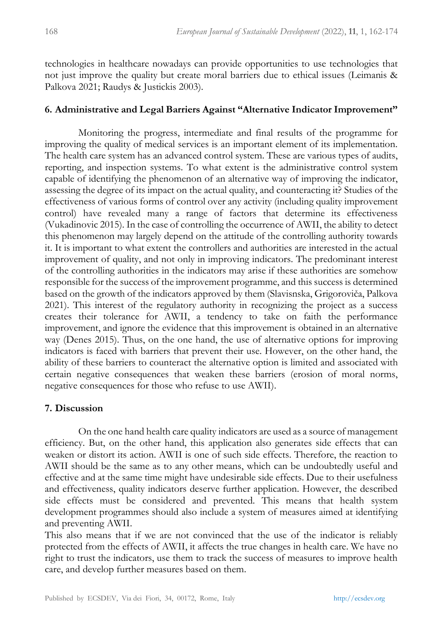technologies in healthcare nowadays can provide opportunities to use technologies that not just improve the quality but create moral barriers due to ethical issues (Leimanis & Palkova 2021; Raudys & Justickis 2003).

#### **6. Administrative and Legal Barriers Against "Alternative Indicator Improvement"**

Monitoring the progress, intermediate and final results of the programme for improving the quality of medical services is an important element of its implementation. The health care system has an advanced control system. These are various types of audits, reporting, and inspection systems. To what extent is the administrative control system capable of identifying the phenomenon of an alternative way of improving the indicator, assessing the degree of its impact on the actual quality, and counteracting it? Studies of the effectiveness of various forms of control over any activity (including quality improvement control) have revealed many a range of factors that determine its effectiveness (Vukadinovic 2015). In the case of controlling the occurrence of AWII, the ability to detect this phenomenon may largely depend on the attitude of the controlling authority towards it. It is important to what extent the controllers and authorities are interested in the actual improvement of quality, and not only in improving indicators. The predominant interest of the controlling authorities in the indicators may arise if these authorities are somehow responsible for the success of the improvement programme, and this success is determined based on the growth of the indicators approved by them (Slavisnska, Grigoroviča, Palkova 2021). This interest of the regulatory authority in recognizing the project as a success creates their tolerance for AWII, a tendency to take on faith the performance improvement, and ignore the evidence that this improvement is obtained in an alternative way (Denes 2015). Thus, on the one hand, the use of alternative options for improving indicators is faced with barriers that prevent their use. However, on the other hand, the ability of these barriers to counteract the alternative option is limited and associated with certain negative consequences that weaken these barriers (erosion of moral norms, negative consequences for those who refuse to use AWII).

# **7. Discussion**

On the one hand health care quality indicators are used as a source of management efficiency. But, on the other hand, this application also generates side effects that can weaken or distort its action. AWII is one of such side effects. Therefore, the reaction to AWII should be the same as to any other means, which can be undoubtedly useful and effective and at the same time might have undesirable side effects. Due to their usefulness and effectiveness, quality indicators deserve further application. However, the described side effects must be considered and prevented. This means that health system development programmes should also include a system of measures aimed at identifying and preventing AWII.

This also means that if we are not convinced that the use of the indicator is reliably protected from the effects of AWII, it affects the true changes in health care. We have no right to trust the indicators, use them to track the success of measures to improve health care, and develop further measures based on them.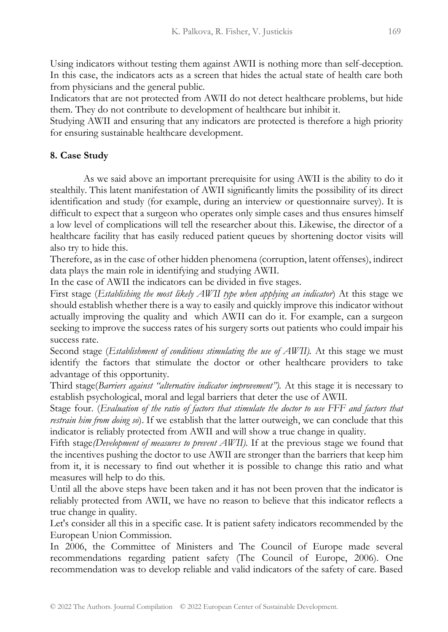Using indicators without testing them against AWII is nothing more than self-deception. In this case, the indicators acts as a screen that hides the actual state of health care both from physicians and the general public.

Indicators that are not protected from AWII do not detect healthcare problems, but hide them. They do not contribute to development of healthcare but inhibit it.

Studying AWII and ensuring that any indicators are protected is therefore a high priority for ensuring sustainable healthcare development.

#### **8. Case Study**

As we said above an important prerequisite for using AWII is the ability to do it stealthily. This latent manifestation of AWII significantly limits the possibility of its direct identification and study (for example, during an interview or questionnaire survey). It is difficult to expect that a surgeon who operates only simple cases and thus ensures himself a low level of complications will tell the researcher about this. Likewise, the director of a healthcare facility that has easily reduced patient queues by shortening doctor visits will also try to hide this.

Therefore, as in the case of other hidden phenomena (corruption, latent offenses), indirect data plays the main role in identifying and studying AWII.

In the case of AWII the indicators can be divided in five stages.

First stage (*Establishing the most likely AWII type when applying an indicator*) At this stage we should establish whether there is a way to easily and quickly improve this indicator without actually improving the quality and which AWII can do it. For example, can a surgeon seeking to improve the success rates of his surgery sorts out patients who could impair his success rate.

Second stage (*Establishment of conditions stimulating the use of AWII).* At this stage we must identify the factors that stimulate the doctor or other healthcare providers to take advantage of this opportunity.

Third stage(*Barriers against "alternative indicator improvement").* At this stage it is necessary to establish psychological, moral and legal barriers that deter the use of AWII.

Stage four. (*Evaluation of the ratio of factors that stimulate the doctor to use FFF and factors that restrain him from doing so*). If we establish that the latter outweigh, we can conclude that this indicator is reliably protected from AWII and will show a true change in quality.

Fifth stage*(Development of measures to prevent AWII).* If at the previous stage we found that the incentives pushing the doctor to use AWII are stronger than the barriers that keep him from it, it is necessary to find out whether it is possible to change this ratio and what measures will help to do this.

Until all the above steps have been taken and it has not been proven that the indicator is reliably protected from AWII, we have no reason to believe that this indicator reflects a true change in quality.

Let's consider all this in a specific case. It is patient safety indicators recommended by the European Union Commission.

In 2006, the Committee of Ministers and The Council of Europe made several recommendations regarding patient safety (The Council of Europe, 2006). One recommendation was to develop reliable and valid indicators of the safety of care. Based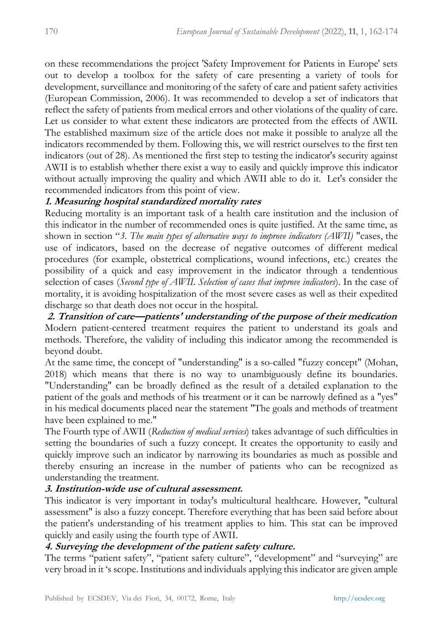on these recommendations the project 'Safety Improvement for Patients in Europe' sets out to develop a toolbox for the safety of care presenting a variety of tools for development, surveillance and monitoring of the safety of care and patient safety activities (European Commission, 2006). It was recommended to develop a set of indicators that reflect the safety of patients from medical errors and other violations of the quality of care. Let us consider to what extent these indicators are protected from the effects of AWII. The established maximum size of the article does not make it possible to analyze all the indicators recommended by them. Following this, we will restrict ourselves to the first ten indicators (out of 28). As mentioned the first step to testing the indicator's security against AWII is to establish whether there exist a way to easily and quickly improve this indicator without actually improving the quality and which AWII able to do it. Let's consider the recommended indicators from this point of view.

# **1. Measuring hospital standardized mortality rates**

Reducing mortality is an important task of a health care institution and the inclusion of this indicator in the number of recommended ones is quite justified. At the same time, as shown in section "*3. The main types of alternative ways to improve indicators (AWII)* "cases, the use of indicators, based on the decrease of negative outcomes of different medical procedures (for example, obstetrical complications, wound infections, etc.) creates the possibility of a quick and easy improvement in the indicator through a tendentious selection of cases (*Second type of AWII. Selection of cases that improve indicators*). In the case of mortality, it is avoiding hospitalization of the most severe cases as well as their expedited discharge so that death does not occur in the hospital.

**2. Transition of care—patients' understanding of the purpose of their medication** Modern patient-centered treatment requires the patient to understand its goals and methods. Therefore, the validity of including this indicator among the recommended is beyond doubt.

At the same time, the concept of "understanding" is a so-called "fuzzy concept" (Mohan, 2018) which means that there is no way to unambiguously define its boundaries. "Understanding" can be broadly defined as the result of a detailed explanation to the patient of the goals and methods of his treatment or it can be narrowly defined as a "yes" in his medical documents placed near the statement "The goals and methods of treatment have been explained to me."

The Fourth type of AWII (*Reduction of medical services*) takes advantage of such difficulties in setting the boundaries of such a fuzzy concept. It creates the opportunity to easily and quickly improve such an indicator by narrowing its boundaries as much as possible and thereby ensuring an increase in the number of patients who can be recognized as understanding the treatment.

# **3. Institution-wide use of cultural assessment.**

This indicator is very important in today's multicultural healthcare. However, "cultural assessment" is also a fuzzy concept. Therefore everything that has been said before about the patient's understanding of his treatment applies to him. This stat can be improved quickly and easily using the fourth type of AWII.

# **4. Surveying the development of the patient safety culture.**

The terms "patient safety", "patient safety culture", "development" and "surveying" are very broad in it 's scope. Institutions and individuals applying this indicator are given ample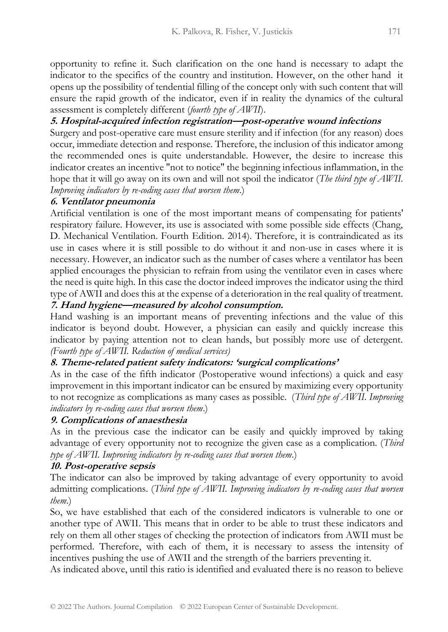opportunity to refine it. Such clarification on the one hand is necessary to adapt the indicator to the specifics of the country and institution. However, on the other hand it opens up the possibility of tendential filling of the concept only with such content that will ensure the rapid growth of the indicator, even if in reality the dynamics of the cultural assessment is completely different (*fourth type of AWII*).

# **5. Hospital-acquired infection registration—post-operative wound infections**

Surgery and post-operative care must ensure sterility and if infection (for any reason) does occur, immediate detection and response. Therefore, the inclusion of this indicator among the recommended ones is quite understandable. However, the desire to increase this indicator creates an incentive "not to notice" the beginning infectious inflammation, in the hope that it will go away on its own and will not spoil the indicator (*The third type of AWII. Improving indicators by re-coding cases that worsen them*.)

# **6. Ventilator pneumonia**

Artificial ventilation is one of the most important means of compensating for patients' respiratory failure. However, its use is associated with some possible side effects (Chang, D. Mechanical Ventilation. Fourth Edition. 2014). Therefore, it is contraindicated as its use in cases where it is still possible to do without it and non-use in cases where it is necessary. However, an indicator such as the number of cases where a ventilator has been applied encourages the physician to refrain from using the ventilator even in cases where the need is quite high. In this case the doctor indeed improves the indicator using the third type of AWII and does this at the expense of a deterioration in the real quality of treatment.

# **7. Hand hygiene—measured by alcohol consumption.**

Hand washing is an important means of preventing infections and the value of this indicator is beyond doubt. However, a physician can easily and quickly increase this indicator by paying attention not to clean hands, but possibly more use of detergent. *(Fourth type of AWII. Reduction of medical services)*

# **8. Theme-related patient safety indicators: 'surgical complications'**

As in the case of the fifth indicator (Postoperative wound infections) a quick and easy improvement in this important indicator can be ensured by maximizing every opportunity to not recognize as complications as many cases as possible. (*Third type of AWII. Improving indicators by re-coding cases that worsen them*.)

# **9. Complications of anaesthesia**

As in the previous case the indicator can be easily and quickly improved by taking advantage of every opportunity not to recognize the given case as a complication. (*Third type of AWII. Improving indicators by re-coding cases that worsen them*.)

# **10. Post-operative sepsis**

The indicator can also be improved by taking advantage of every opportunity to avoid admitting complications. (*Third type of AWII. Improving indicators by re-coding cases that worsen them*.)

So, we have established that each of the considered indicators is vulnerable to one or another type of AWII. This means that in order to be able to trust these indicators and rely on them all other stages of checking the protection of indicators from AWII must be performed. Therefore, with each of them, it is necessary to assess the intensity of incentives pushing the use of AWII and the strength of the barriers preventing it.

As indicated above, until this ratio is identified and evaluated there is no reason to believe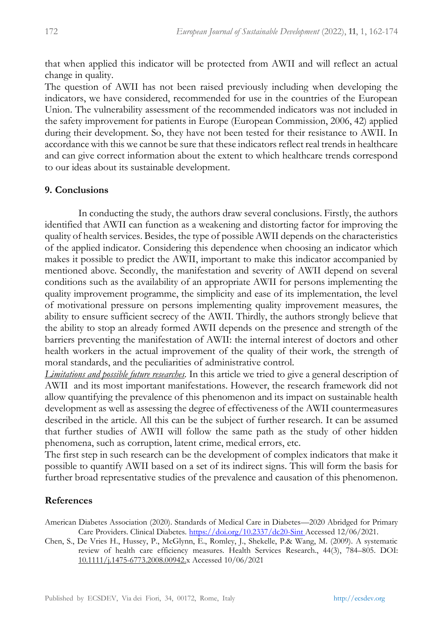that when applied this indicator will be protected from AWII and will reflect an actual change in quality.

The question of AWII has not been raised previously including when developing the indicators, we have considered, recommended for use in the countries of the European Union. The vulnerability assessment of the recommended indicators was not included in the safety improvement for patients in Europe (European Commission, 2006, 42) applied during their development. So, they have not been tested for their resistance to AWII. In accordance with this we cannot be sure that these indicators reflect real trends in healthcare and can give correct information about the extent to which healthcare trends correspond to our ideas about its sustainable development.

#### **9. Conclusions**

In conducting the study, the authors draw several conclusions. Firstly, the authors identified that AWII can function as a weakening and distorting factor for improving the quality of health services. Besides, the type of possible AWII depends on the characteristics of the applied indicator. Considering this dependence when choosing an indicator which makes it possible to predict the AWII, important to make this indicator accompanied by mentioned above. Secondly, the manifestation and severity of AWII depend on several conditions such as the availability of an appropriate AWII for persons implementing the quality improvement programme, the simplicity and ease of its implementation, the level of motivational pressure on persons implementing quality improvement measures, the ability to ensure sufficient secrecy of the AWII. Thirdly, the authors strongly believe that the ability to stop an already formed AWII depends on the presence and strength of the barriers preventing the manifestation of AWII: the internal interest of doctors and other health workers in the actual improvement of the quality of their work, the strength of moral standards, and the peculiarities of administrative control.

*Limitations and possible future researches.* In this article we tried to give a general description of AWII and its most important manifestations. However, the research framework did not allow quantifying the prevalence of this phenomenon and its impact on sustainable health development as well as assessing the degree of effectiveness of the AWII countermeasures described in the article. All this can be the subject of further research. It can be assumed that further studies of AWII will follow the same path as the study of other hidden phenomena, such as corruption, latent crime, medical errors, etc.

The first step in such research can be the development of complex indicators that make it possible to quantify AWII based on a set of its indirect signs. This will form the basis for further broad representative studies of the prevalence and causation of this phenomenon.

#### **References**

- American Diabetes Association (2020). Standards of Medical Care in Diabetes—2020 Abridged for Primary Care Providers. Clinical Diabetes.<https://doi.org/10.2337/dc20-Sint> [A](https://doi.org/10.2337/dc20-Sint)ccessed 12/06/2021.
- Chen, S., De Vries H., Hussey, P., McGlynn, E., Romley, J., Shekelle, P.& Wang, M. (2009). A systematic review of health care efficiency measures. Health Services Research., 44(3), 784–805. DOI: 10.1111/j.1475-6773.2008.00942.x Accessed 10/06/2021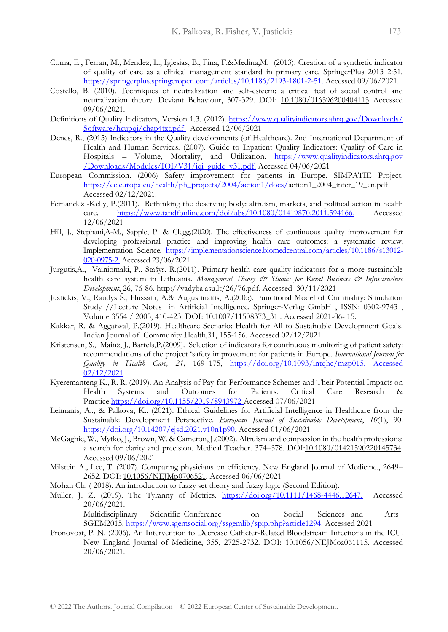- Coma, E., Ferran, M., Mendez, L., Iglesias, B., Fina, F.&Medina,M. (2013). Creation of a synthetic indicator of quality of care as a clinical management standard in primary care. SpringerPlus 2013 2:51. [https://springerplus.springeropen.com/articles/10.1186/2193-1801-2-51.](https://springerplus.springeropen.com/articles/10.1186/2193-1801-2-51) Accessed 09/06/2021.
- Costello, B. (2010). Techniques of neutralization and self-esteem: a critical test of social control and neutralization theory. Deviant Behaviour, 307-329. DOI: 10.1080/016396200404113 Accessed 09/06/2021.
- Definitions of Quality Indicators, Version 1.3. (2012). https://www.qualityindicators.ahrq.gov/Downloads/ [Software/hcupqi/chap4txt.pdf](https://www.qualityindicators.ahrq.gov/Downloads/%20%20Software/hcupqi/chap4txt.pdf)Accessed 12/06/2021
- Denes, R., (2015) Indicators in the Quality developments (of Healthcare). 2nd International Department of Health and Human Services. (2007). Guide to Inpatient Quality Indicators: Quality of Care in Hospitals – Volume, Mortality, and Utilization. https://www.qualityindicators.ahrq.gov /Downloads/Modules/IQI/V31/iqi\_guide\_v31.pd[f.](https://www.qualityindicators.ahrq.gov/Downloads/Modules/IQI/V31/iqi_guide_v31.pdf) Accessed 04/06/2021
- European Commission. (2006) Safety improvement for patients in Europe. SIMPATIE Project. [https://ec.europa.eu/health/ph\\_projects/2004/action1/docs/a](https://ec.europa.eu/health/ph_projects/2004/action1/docs/)ction1\_2004\_inter\_19\_en.pdf Accessed 02/12/2021.
- Fernandez -Kelly, P.(2011). Rethinking the deserving body: altruism, markets, and political action in health care. [https://www.tandfonline.com/doi/abs/10.1080/01419870.2011.594166.](https://www.tandfonline.com/doi/abs/10.1080/01419870.2011.594166) Accessed 12/06/2021
- Hill, J., Stephani,A-M., Sapple, P. & Clegg.(2020). The effectiveness of continuous quality improvement for developing professional practice and improving health care outcomes: a systematic review. Implementation Science. [https://implementationscience.biomedcentral.com/articles/10.1186/s13012-](https://implementationscience.biomedcentral.com/articles/10.1186/s13012-020-0975-2) [020-0975-2.](https://implementationscience.biomedcentral.com/articles/10.1186/s13012-020-0975-2) Accessed 23/06/2021
- Jurgutis,A., Vainiomaki, P., Stašys, R.(2011). Primary health care quality indicators for a more sustainable health care system in Lithuania. *Management Theory & Studies for Rural Business & Infrastructure Development*, 26, 76-86. http://vadyba.asu.lt/26/76.pdf. Accessed 30/11/2021
- Justickis, V., Raudys Š., Hussain, A.& Augustinaitis, A.(2005). Functional Model of Criminality: Simulation Study //Lecture Notes in Artificial Intelligence. Springer-Verlag GmbH , ISSN: 0302-9743 , Volume 3554 / 2005, 410-423. DOI: 10.1007/11508373\_31 . Accessed 2021-06- 15.
- Kakkar, R. & Aggarwal, P.(2019). Healthcare Scenario: Health for All to Sustainable Development Goals. Indian Journal of Community Health,31, 155-156. Accessed 02/12/2021.
- Kristensen, S., Mainz, J., Bartels,P.(2009). Selection of indicators for continuous monitoring of patient safety: recommendations of the project 'safety improvement for patients in Europe. *International Journal for Quality in Health Care, 21,* 169–175, [https://doi.org/10.1093/intqhc/mzp015. Accessed](https://doi.org/10.1093/intqhc/mzp015.%20Accessed%2002/12/2021)  [02/12/2021.](https://doi.org/10.1093/intqhc/mzp015.%20Accessed%2002/12/2021)
- Kyeremanteng K., R. R. (2019). An Analysis of Pay-for-Performance Schemes and Their Potential Impacts on Health Systems and Outcomes for Patients. Critical Care Research & Practic[e.https://doi.org/10.1155/2019/8943972](https://doi.org/10.1155/2019/8943972) [A](https://doi.org/10.1155/2019/8943972)ccessed 07/06/2021
- Leimanis, A.., & Palkova, K.. (2021). Ethical Guidelines for Artificial Intelligence in Healthcare from the Sustainable Development Perspective. *European Journal of Sustainable Development*, *10*(1), 90. [https://doi.org/10.14207/ejsd.2021.v10n1p90.](https://doi.org/10.14207/ejsd.2021.v10n1p90) Accessed 01/06/2021
- McGaghie, W., Mytko, J., Brown, W. & Cameron, J.(2002). Altruism and compassion in the health professions: a search for clarity and precision. Medical Teacher. 374–378. DOI:10.1080/01421590220145734. Accessed 09/06/2021
- Milstein A., Lee, T. (2007). Comparing physicians on efficiency. New England Journal of Medicine., 2649– 2652. DOI: 10.1056/NEJMp0706521. Accessed 06/06/2021
- Mohan Ch. ( 2018). An introduction to fuzzy set theory and fuzzy logic (Second Edition).
- Muller, J. Z. (2019). The Tyranny of Metrics. [https://doi.org/10.1111/1468-4446.12647.](https://doi.org/10.1111/1468-4446.12647) Accessed 20/06/2021. Multidisciplinary Scientific Conference on Social Sciences and Arts
- SGEM2015. [https://www.sgemsocial.org/ssgemlib/spip.php?article1294.](https://www.sgemsocial.org/ssgemlib/spip.php?article1294) Accessed 2021 Pronovost, P. N. (2006). An Intervention to Decrease Catheter-Related Bloodstream Infections in the ICU.
- New England Journal of Medicine, 355, 2725-2732. DOI: 10.1056/NEJMoa061115. Accessed 20/06/2021.